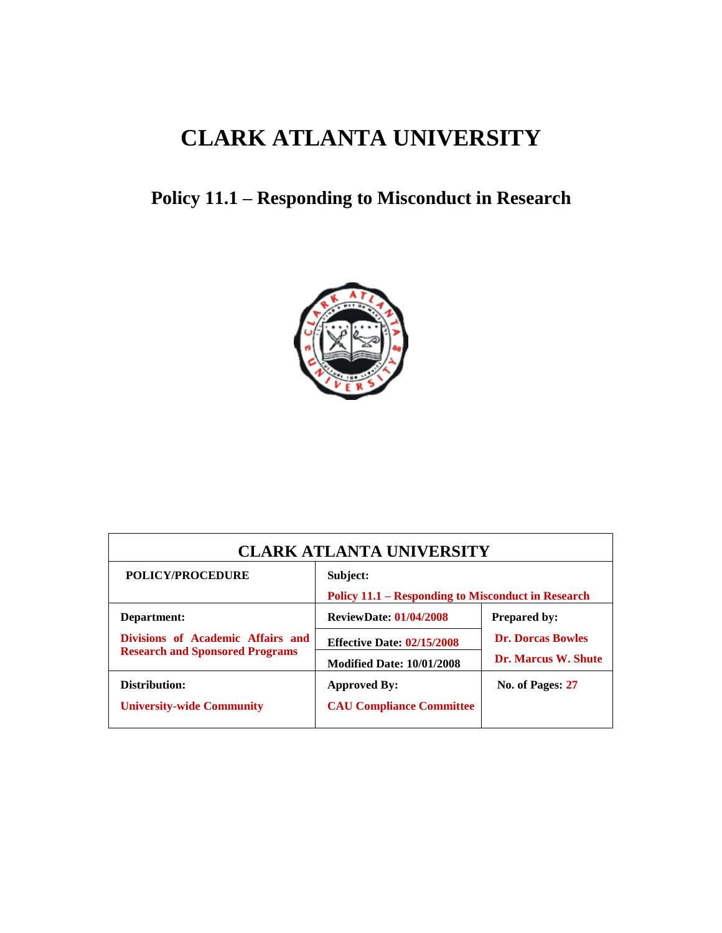# **CLARK ATLANTA UNIVERSITY**

## **Policy 11.1 – Responding to Misconduct in Research**



| <b>CLARK ATLANTA UNIVERSITY</b>                                                            |                                                                                                        |                                                                        |  |  |  |
|--------------------------------------------------------------------------------------------|--------------------------------------------------------------------------------------------------------|------------------------------------------------------------------------|--|--|--|
| POLICY/PROCEDURE                                                                           | Subject:<br>Policy 11.1 – Responding to Misconduct in Research                                         |                                                                        |  |  |  |
| Department:<br>Divisions of Academic Affairs and<br><b>Research and Sponsored Programs</b> | <b>ReviewDate: 01/04/2008</b><br><b>Effective Date: 02/15/2008</b><br><b>Modified Date: 10/01/2008</b> | <b>Prepared by:</b><br><b>Dr. Dorcas Bowles</b><br>Dr. Marcus W. Shute |  |  |  |
| Distribution:<br><b>University-wide Community</b>                                          | <b>Approved By:</b><br><b>CAU Compliance Committee</b>                                                 | No. of Pages: 27                                                       |  |  |  |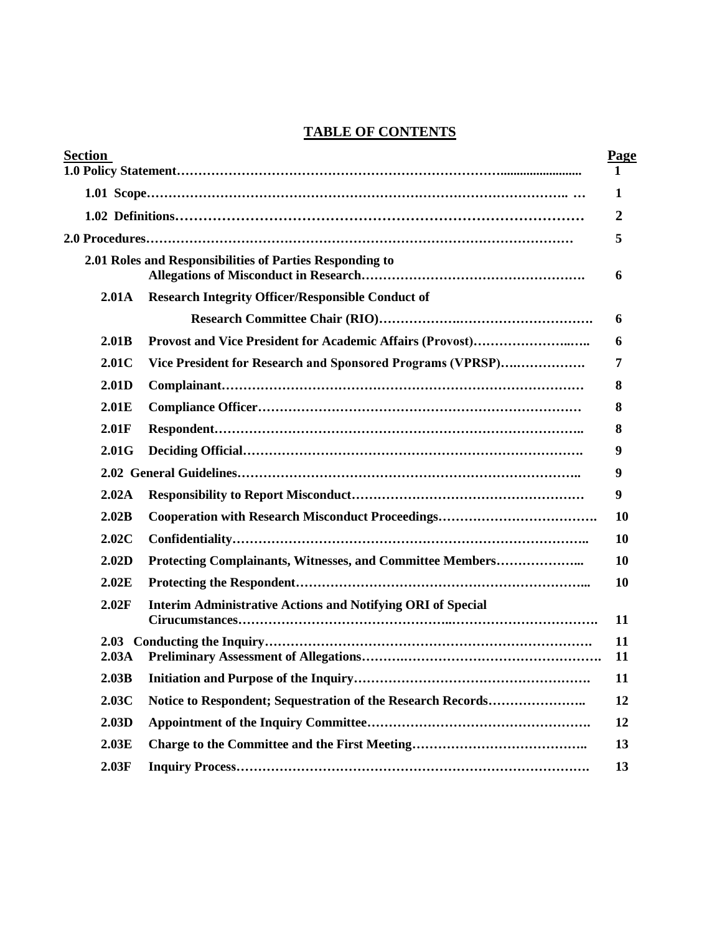## **TABLE OF CONTENTS**

| Section           |                                                                    | Page      |
|-------------------|--------------------------------------------------------------------|-----------|
|                   |                                                                    | 1         |
|                   |                                                                    | 1         |
|                   |                                                                    | 2         |
|                   |                                                                    | 5         |
|                   | 2.01 Roles and Responsibilities of Parties Responding to           | 6         |
| 2.01A             | <b>Research Integrity Officer/Responsible Conduct of</b>           |           |
|                   |                                                                    | 6         |
| 2.01B             |                                                                    | 6         |
| 2.01C             | Vice President for Research and Sponsored Programs (VPRSP)         | 7         |
| 2.01D             |                                                                    | 8         |
| 2.01E             |                                                                    | 8         |
| 2.01F             |                                                                    | 8         |
| 2.01G             |                                                                    | 9         |
|                   |                                                                    | 9         |
| 2.02A             |                                                                    | 9         |
| 2.02B             |                                                                    | 10        |
| 2.02C             |                                                                    | <b>10</b> |
| 2.02D             | Protecting Complainants, Witnesses, and Committee Members          | 10        |
| 2.02E             |                                                                    | 10        |
| 2.02F             | <b>Interim Administrative Actions and Notifying ORI of Special</b> | 11        |
| 2.03 <sub>A</sub> |                                                                    | 11<br>11  |
| 2.03B             |                                                                    | 11        |
| 2.03C             | Notice to Respondent; Sequestration of the Research Records        | 12        |
| 2.03D             |                                                                    | 12        |
| 2.03E             |                                                                    | 13        |
| 2.03F             |                                                                    | 13        |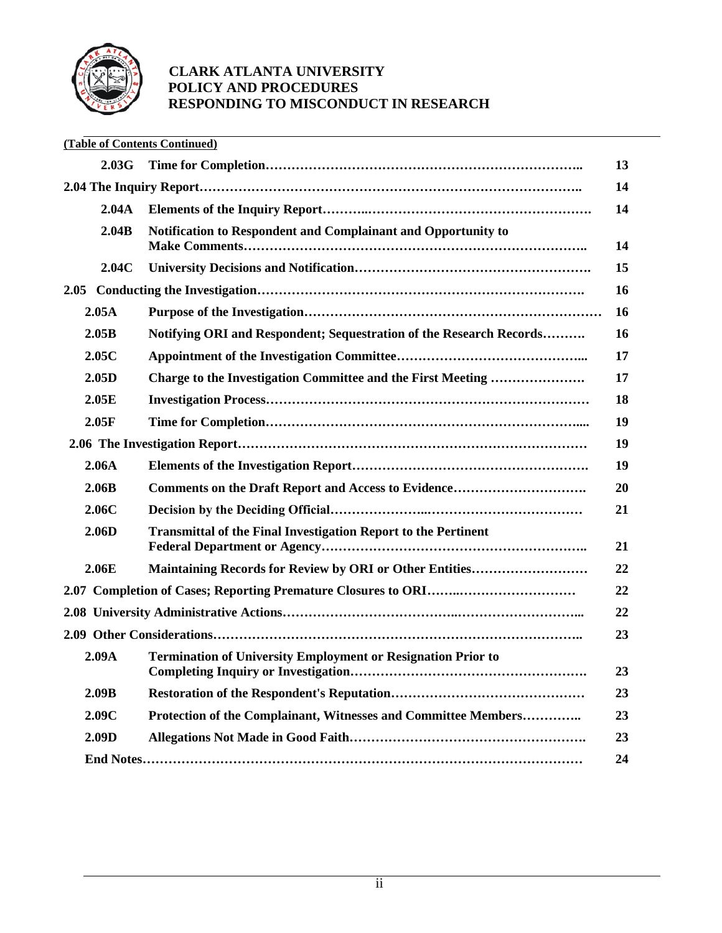

|      |       | (Table of Contents Continued)                                         |           |
|------|-------|-----------------------------------------------------------------------|-----------|
|      | 2.03G |                                                                       | 13        |
|      |       |                                                                       | 14        |
|      | 2.04A |                                                                       | 14        |
|      | 2.04B | Notification to Respondent and Complainant and Opportunity to         | 14        |
|      | 2.04C |                                                                       | 15        |
| 2.05 |       |                                                                       | <b>16</b> |
|      | 2.05A |                                                                       | <b>16</b> |
|      | 2.05B | Notifying ORI and Respondent; Sequestration of the Research Records   | <b>16</b> |
|      | 2.05C |                                                                       | 17        |
|      | 2.05D | Charge to the Investigation Committee and the First Meeting           | 17        |
|      | 2.05E |                                                                       | 18        |
|      | 2.05F |                                                                       | 19        |
|      |       |                                                                       | 19        |
|      | 2.06A |                                                                       | 19        |
|      | 2.06B | Comments on the Draft Report and Access to Evidence                   | 20        |
|      | 2.06C |                                                                       | 21        |
|      | 2.06D | <b>Transmittal of the Final Investigation Report to the Pertinent</b> | 21        |
|      | 2.06E | <b>Maintaining Records for Review by ORI or Other Entities</b>        | 22        |
|      |       |                                                                       | 22        |
|      |       |                                                                       | 22        |
|      |       |                                                                       | 23        |
|      | 2.09A | <b>Termination of University Employment or Resignation Prior to</b>   | 23        |
|      | 2.09B |                                                                       | 23        |
|      | 2.09C | Protection of the Complainant, Witnesses and Committee Members        | 23        |
|      | 2.09D |                                                                       | 23        |
|      |       |                                                                       | 24        |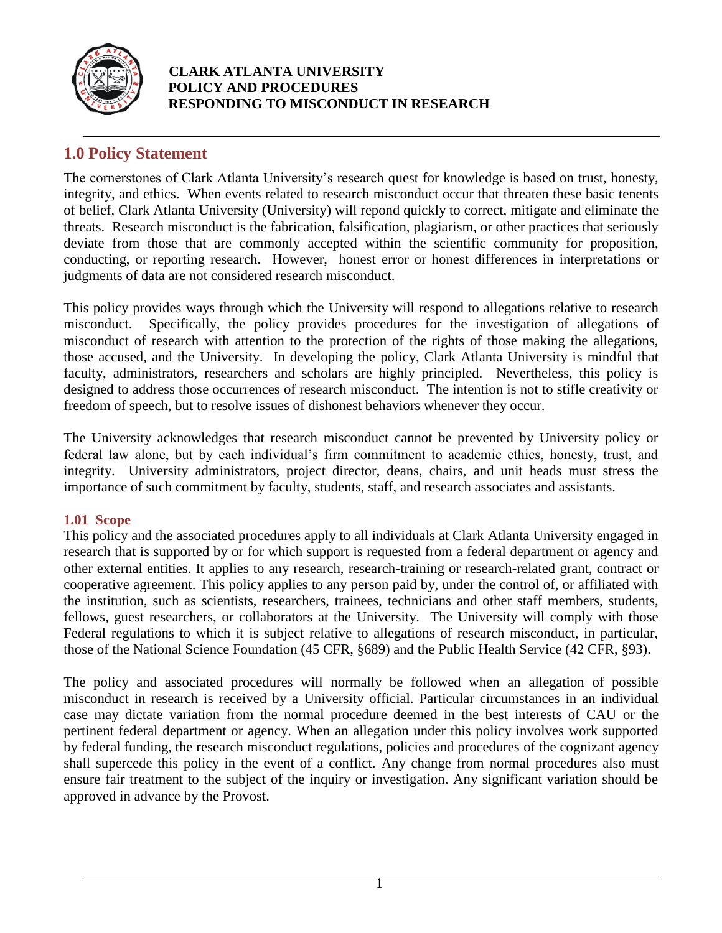

## **1.0 Policy Statement**

The cornerstones of Clark Atlanta University's research quest for knowledge is based on trust, honesty, integrity, and ethics. When events related to research misconduct occur that threaten these basic tenents of belief, Clark Atlanta University (University) will repond quickly to correct, mitigate and eliminate the threats. Research misconduct is the fabrication, falsification, plagiarism, or other practices that seriously deviate from those that are commonly accepted within the scientific community for proposition, conducting, or reporting research. However, honest error or honest differences in interpretations or judgments of data are not considered research misconduct.

This policy provides ways through which the University will respond to allegations relative to research misconduct. Specifically, the policy provides procedures for the investigation of allegations of misconduct of research with attention to the protection of the rights of those making the allegations, those accused, and the University. In developing the policy, Clark Atlanta University is mindful that faculty, administrators, researchers and scholars are highly principled. Nevertheless, this policy is designed to address those occurrences of research misconduct. The intention is not to stifle creativity or freedom of speech, but to resolve issues of dishonest behaviors whenever they occur.

The University acknowledges that research misconduct cannot be prevented by University policy or federal law alone, but by each individual's firm commitment to academic ethics, honesty, trust, and integrity. University administrators, project director, deans, chairs, and unit heads must stress the importance of such commitment by faculty, students, staff, and research associates and assistants.

#### **1.01 Scope**

This policy and the associated procedures apply to all individuals at Clark Atlanta University engaged in research that is supported by or for which support is requested from a federal department or agency and other external entities. It applies to any research, research-training or research-related grant, contract or cooperative agreement. This policy applies to any person paid by, under the control of, or affiliated with the institution, such as scientists, researchers, trainees, technicians and other staff members, students, fellows, guest researchers, or collaborators at the University. The University will comply with those Federal regulations to which it is subject relative to allegations of research misconduct, in particular, those of the National Science Foundation (45 CFR, §689) and the Public Health Service (42 CFR, §93).

The policy and associated procedures will normally be followed when an allegation of possible misconduct in research is received by a University official. Particular circumstances in an individual case may dictate variation from the normal procedure deemed in the best interests of CAU or the pertinent federal department or agency. When an allegation under this policy involves work supported by federal funding, the research misconduct regulations, policies and procedures of the cognizant agency shall supercede this policy in the event of a conflict. Any change from normal procedures also must ensure fair treatment to the subject of the inquiry or investigation. Any significant variation should be approved in advance by the Provost.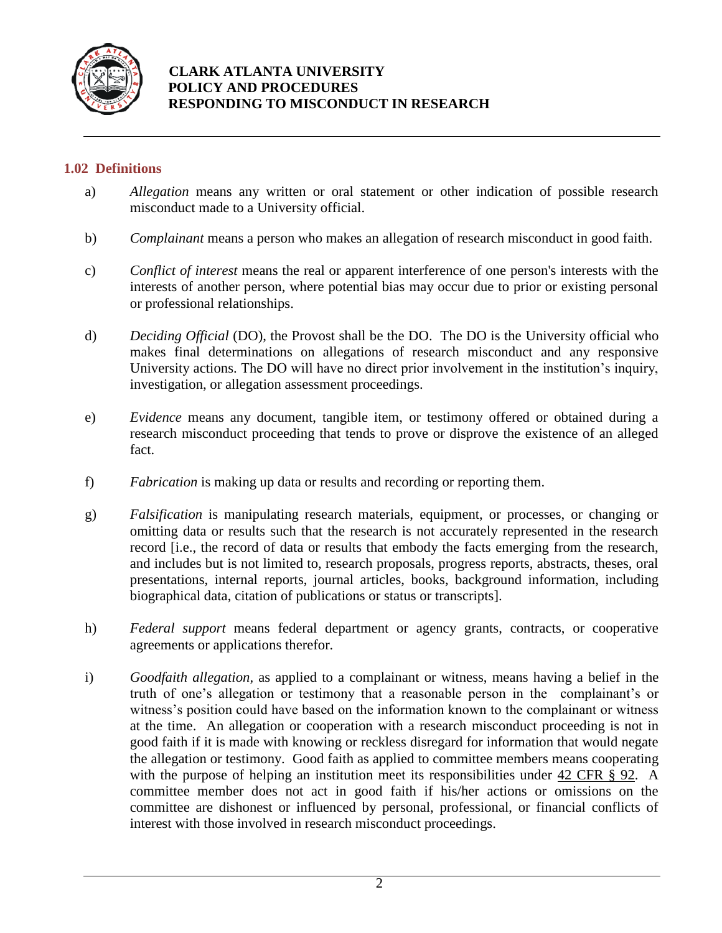

#### **1.02 Definitions**

- a) *Allegation* means any written or oral statement or other indication of possible research misconduct made to a University official.
- b) *Complainant* means a person who makes an allegation of research misconduct in good faith.
- c) *Conflict of interest* means the real or apparent interference of one person's interests with the interests of another person, where potential bias may occur due to prior or existing personal or professional relationships.
- d) *Deciding Official* (DO), the Provost shall be the DO. The DO is the University official who makes final determinations on allegations of research misconduct and any responsive University actions. The DO will have no direct prior involvement in the institution's inquiry, investigation, or allegation assessment proceedings.
- e) *Evidence* means any document, tangible item, or testimony offered or obtained during a research misconduct proceeding that tends to prove or disprove the existence of an alleged fact.
- f) *Fabrication* is making up data or results and recording or reporting them.
- g) *Falsification* is manipulating research materials, equipment, or processes, or changing or omitting data or results such that the research is not accurately represented in the research record [i.e., the record of data or results that embody the facts emerging from the research, and includes but is not limited to, research proposals, progress reports, abstracts, theses, oral presentations, internal reports, journal articles, books, background information, including biographical data, citation of publications or status or transcripts].
- h) *Federal support* means federal department or agency grants, contracts, or cooperative agreements or applications therefor.
- i) *Goodfaith allegation,* as applied to a complainant or witness, means having a belief in the truth of one's allegation or testimony that a reasonable person in the complainant's or witness's position could have based on the information known to the complainant or witness at the time. An allegation or cooperation with a research misconduct proceeding is not in good faith if it is made with knowing or reckless disregard for information that would negate the allegation or testimony. Good faith as applied to committee members means cooperating with the purpose of helping an institution meet its responsibilities under 42 CFR § 92. A committee member does not act in good faith if his/her actions or omissions on the committee are dishonest or influenced by personal, professional, or financial conflicts of interest with those involved in research misconduct proceedings.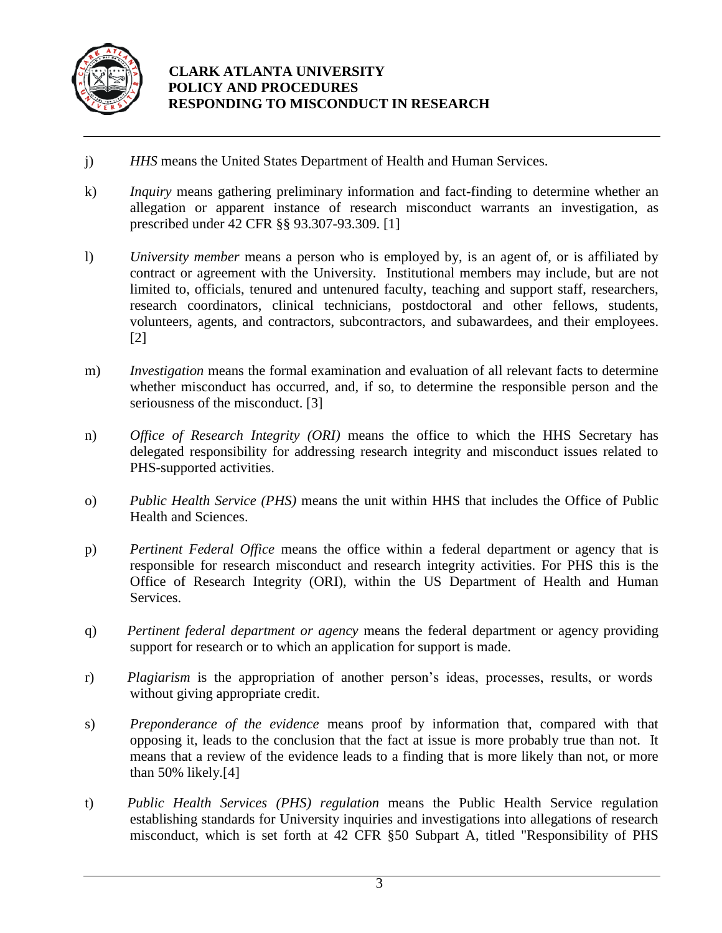

- j) *HHS* means the United States Department of Health and Human Services.
- k) *Inquiry* means gathering preliminary information and fact-finding to determine whether an allegation or apparent instance of research misconduct warrants an investigation, as prescribed under 42 CFR §§ 93.307-93.309. [1]
- l) *University member* means a person who is employed by, is an agent of, or is affiliated by contract or agreement with the University. Institutional members may include, but are not limited to, officials, tenured and untenured faculty, teaching and support staff, researchers, research coordinators, clinical technicians, postdoctoral and other fellows, students, volunteers, agents, and contractors, subcontractors, and subawardees, and their employees. [2]
- m) *Investigation* means the formal examination and evaluation of all relevant facts to determine whether misconduct has occurred, and, if so, to determine the responsible person and the seriousness of the misconduct. [3]
- n) *Office of Research Integrity (ORI)* means the office to which the HHS Secretary has delegated responsibility for addressing research integrity and misconduct issues related to PHS-supported activities.
- o) *Public Health Service (PHS)* means the unit within HHS that includes the Office of Public Health and Sciences.
- p) *Pertinent Federal Office* means the office within a federal department or agency that is responsible for research misconduct and research integrity activities. For PHS this is the Office of Research Integrity (ORI), within the US Department of Health and Human Services.
- q) *Pertinent federal department or agency* means the federal department or agency providing support for research or to which an application for support is made.
- r) *Plagiarism* is the appropriation of another person's ideas, processes, results, or words without giving appropriate credit.
- s) *Preponderance of the evidence* means proof by information that, compared with that opposing it, leads to the conclusion that the fact at issue is more probably true than not. It means that a review of the evidence leads to a finding that is more likely than not, or more than 50% likely.[4]
- t) *Public Health Services (PHS) regulation* means the Public Health Service regulation establishing standards for University inquiries and investigations into allegations of research misconduct, which is set forth at 42 CFR §50 Subpart A, titled "Responsibility of PHS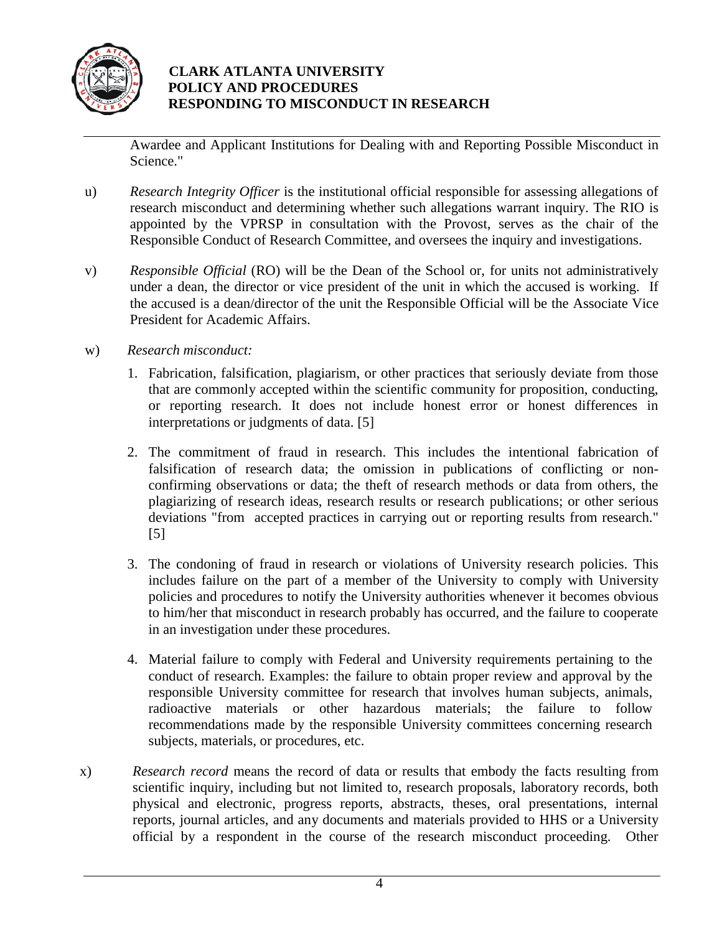

Awardee and Applicant Institutions for Dealing with and Reporting Possible Misconduct in Science."

- u) *Research Integrity Officer* is the institutional official responsible for assessing allegations of research misconduct and determining whether such allegations warrant inquiry. The RIO is appointed by the VPRSP in consultation with the Provost, serves as the chair of the Responsible Conduct of Research Committee, and oversees the inquiry and investigations.
- v) *Responsible Official* (RO) will be the Dean of the School or, for units not administratively under a dean, the director or vice president of the unit in which the accused is working. If the accused is a dean/director of the unit the Responsible Official will be the Associate Vice President for Academic Affairs.
- w) *Research misconduct:*
	- 1. Fabrication, falsification, plagiarism, or other practices that seriously deviate from those that are commonly accepted within the scientific community for proposition, conducting, or reporting research. It does not include honest error or honest differences in interpretations or judgments of data. [5]
	- 2. The commitment of fraud in research. This includes the intentional fabrication of falsification of research data; the omission in publications of conflicting or nonconfirming observations or data; the theft of research methods or data from others, the plagiarizing of research ideas, research results or research publications; or other serious deviations "from accepted practices in carrying out or reporting results from research." [5]
	- 3. The condoning of fraud in research or violations of University research policies. This includes failure on the part of a member of the University to comply with University policies and procedures to notify the University authorities whenever it becomes obvious to him/her that misconduct in research probably has occurred, and the failure to cooperate in an investigation under these procedures.
	- 4. Material failure to comply with Federal and University requirements pertaining to the conduct of research. Examples: the failure to obtain proper review and approval by the responsible University committee for research that involves human subjects, animals, radioactive materials or other hazardous materials; the failure to follow recommendations made by the responsible University committees concerning research subjects, materials, or procedures, etc.
- x) *Research record* means the record of data or results that embody the facts resulting from scientific inquiry, including but not limited to, research proposals, laboratory records, both physical and electronic, progress reports, abstracts, theses, oral presentations, internal reports, journal articles, and any documents and materials provided to HHS or a University official by a respondent in the course of the research misconduct proceeding. Other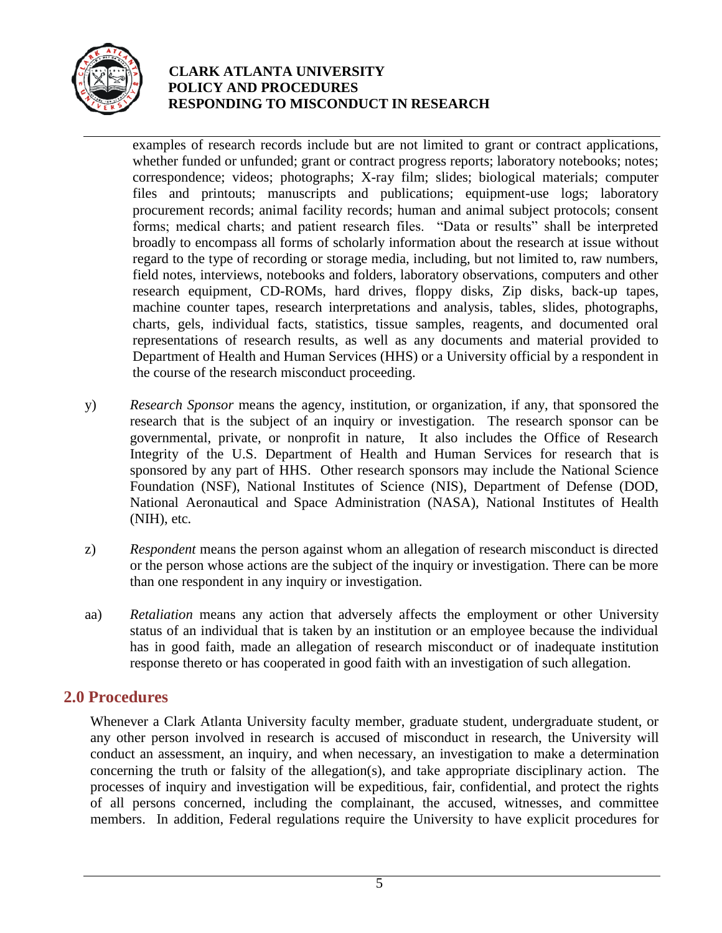

examples of research records include but are not limited to grant or contract applications, whether funded or unfunded; grant or contract progress reports; laboratory notebooks; notes; correspondence; videos; photographs; X-ray film; slides; biological materials; computer files and printouts; manuscripts and publications; equipment-use logs; laboratory procurement records; animal facility records; human and animal subject protocols; consent forms; medical charts; and patient research files. "Data or results" shall be interpreted broadly to encompass all forms of scholarly information about the research at issue without regard to the type of recording or storage media, including, but not limited to, raw numbers, field notes, interviews, notebooks and folders, laboratory observations, computers and other research equipment, CD-ROMs, hard drives, floppy disks, Zip disks, back-up tapes, machine counter tapes, research interpretations and analysis, tables, slides, photographs, charts, gels, individual facts, statistics, tissue samples, reagents, and documented oral representations of research results, as well as any documents and material provided to Department of Health and Human Services (HHS) or a University official by a respondent in the course of the research misconduct proceeding.

- y) *Research Sponsor* means the agency, institution, or organization, if any, that sponsored the research that is the subject of an inquiry or investigation. The research sponsor can be governmental, private, or nonprofit in nature, It also includes the Office of Research Integrity of the U.S. Department of Health and Human Services for research that is sponsored by any part of HHS. Other research sponsors may include the National Science Foundation (NSF), National Institutes of Science (NIS), Department of Defense (DOD, National Aeronautical and Space Administration (NASA), National Institutes of Health (NIH), etc*.*
- z) *Respondent* means the person against whom an allegation of research misconduct is directed or the person whose actions are the subject of the inquiry or investigation. There can be more than one respondent in any inquiry or investigation.
- aa) *Retaliation* means any action that adversely affects the employment or other University status of an individual that is taken by an institution or an employee because the individual has in good faith, made an allegation of research misconduct or of inadequate institution response thereto or has cooperated in good faith with an investigation of such allegation.

## **2.0 Procedures**

Whenever a Clark Atlanta University faculty member, graduate student, undergraduate student, or any other person involved in research is accused of misconduct in research, the University will conduct an assessment, an inquiry, and when necessary, an investigation to make a determination concerning the truth or falsity of the allegation(s), and take appropriate disciplinary action. The processes of inquiry and investigation will be expeditious, fair, confidential, and protect the rights of all persons concerned, including the complainant, the accused, witnesses, and committee members. In addition, Federal regulations require the University to have explicit procedures for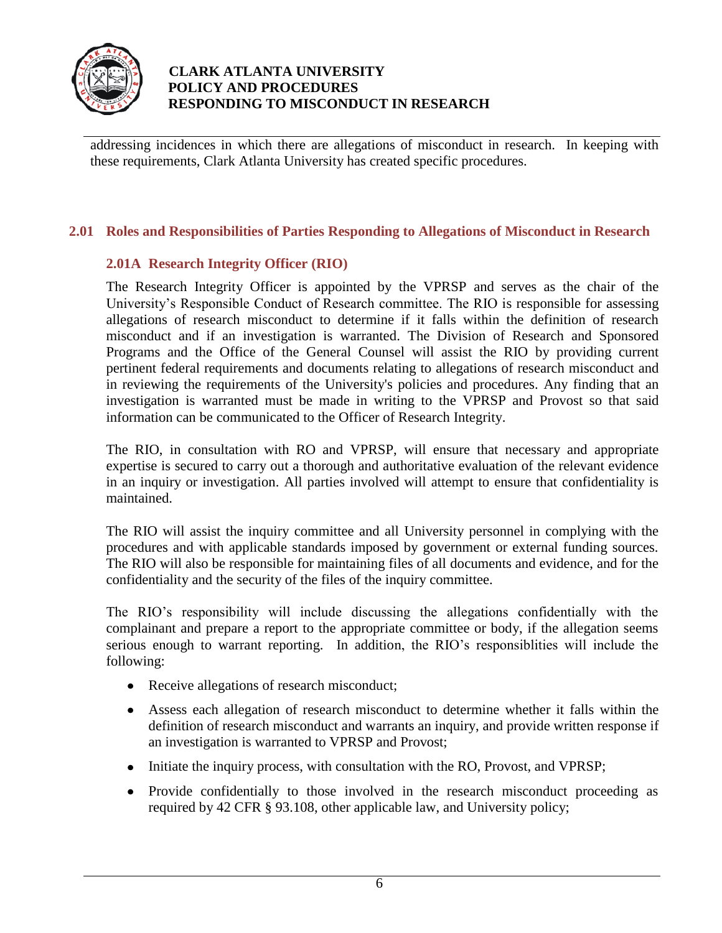

addressing incidences in which there are allegations of misconduct in research. In keeping with these requirements, Clark Atlanta University has created specific procedures.

## **2.01 Roles and Responsibilities of Parties Responding to Allegations of Misconduct in Research**

## **2.01A Research Integrity Officer (RIO)**

The Research Integrity Officer is appointed by the VPRSP and serves as the chair of the University's Responsible Conduct of Research committee. The RIO is responsible for assessing allegations of research misconduct to determine if it falls within the definition of research misconduct and if an investigation is warranted. The Division of Research and Sponsored Programs and the Office of the General Counsel will assist the RIO by providing current pertinent federal requirements and documents relating to allegations of research misconduct and in reviewing the requirements of the University's policies and procedures. Any finding that an investigation is warranted must be made in writing to the VPRSP and Provost so that said information can be communicated to the Officer of Research Integrity.

The RIO, in consultation with RO and VPRSP, will ensure that necessary and appropriate expertise is secured to carry out a thorough and authoritative evaluation of the relevant evidence in an inquiry or investigation. All parties involved will attempt to ensure that confidentiality is maintained.

The RIO will assist the inquiry committee and all University personnel in complying with the procedures and with applicable standards imposed by government or external funding sources. The RIO will also be responsible for maintaining files of all documents and evidence, and for the confidentiality and the security of the files of the inquiry committee.

The RIO's responsibility will include discussing the allegations confidentially with the complainant and prepare a report to the appropriate committee or body, if the allegation seems serious enough to warrant reporting. In addition, the RIO's responsiblities will include the following:

- Receive allegations of research misconduct;
- Assess each allegation of research misconduct to determine whether it falls within the definition of research misconduct and warrants an inquiry, and provide written response if an investigation is warranted to VPRSP and Provost;
- Initiate the inquiry process, with consultation with the RO, Provost, and VPRSP;
- Provide confidentially to those involved in the research misconduct proceeding as required by 42 CFR § 93.108, other applicable law, and University policy;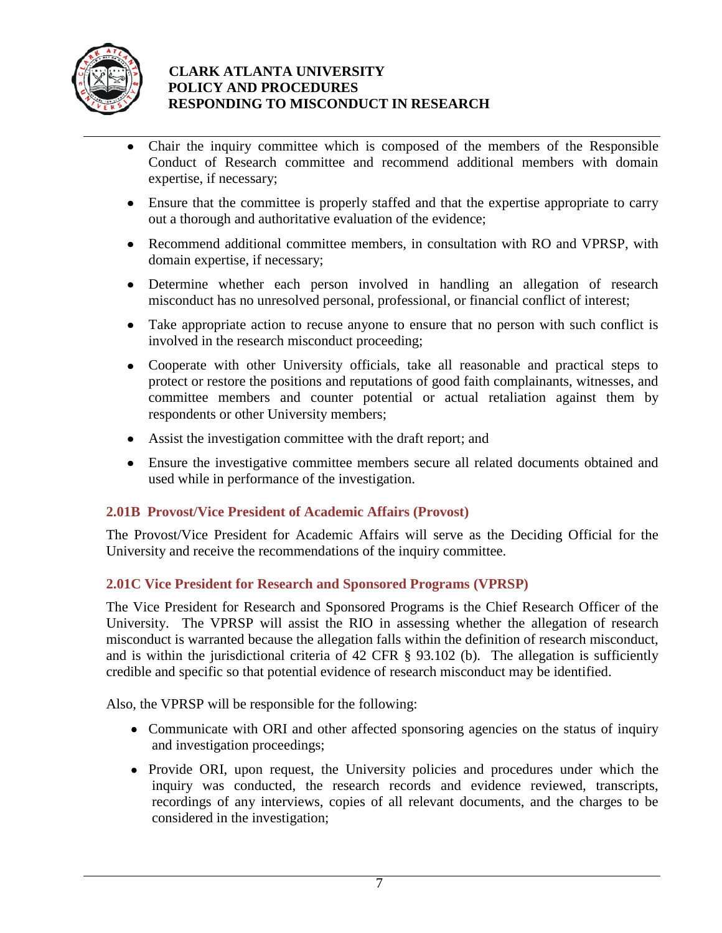

- Chair the inquiry committee which is composed of the members of the Responsible  $\bullet$ Conduct of Research committee and recommend additional members with domain expertise, if necessary;
- Ensure that the committee is properly staffed and that the expertise appropriate to carry out a thorough and authoritative evaluation of the evidence;
- Recommend additional committee members, in consultation with RO and VPRSP, with domain expertise, if necessary;
- Determine whether each person involved in handling an allegation of research misconduct has no unresolved personal, professional, or financial conflict of interest;
- Take appropriate action to recuse anyone to ensure that no person with such conflict is involved in the research misconduct proceeding;
- Cooperate with other University officials, take all reasonable and practical steps to protect or restore the positions and reputations of good faith complainants, witnesses, and committee members and counter potential or actual retaliation against them by respondents or other University members;
- Assist the investigation committee with the draft report; and
- Ensure the investigative committee members secure all related documents obtained and used while in performance of the investigation.

## **2.01B Provost/Vice President of Academic Affairs (Provost)**

The Provost/Vice President for Academic Affairs will serve as the Deciding Official for the University and receive the recommendations of the inquiry committee.

## **2.01C Vice President for Research and Sponsored Programs (VPRSP)**

The Vice President for Research and Sponsored Programs is the Chief Research Officer of the University. The VPRSP will assist the RIO in assessing whether the allegation of research misconduct is warranted because the allegation falls within the definition of research misconduct, and is within the jurisdictional criteria of 42 CFR § 93.102 (b). The allegation is sufficiently credible and specific so that potential evidence of research misconduct may be identified.

Also, the VPRSP will be responsible for the following:

- Communicate with ORI and other affected sponsoring agencies on the status of inquiry and investigation proceedings;
- Provide ORI, upon request, the University policies and procedures under which the inquiry was conducted, the research records and evidence reviewed, transcripts, recordings of any interviews, copies of all relevant documents, and the charges to be considered in the investigation;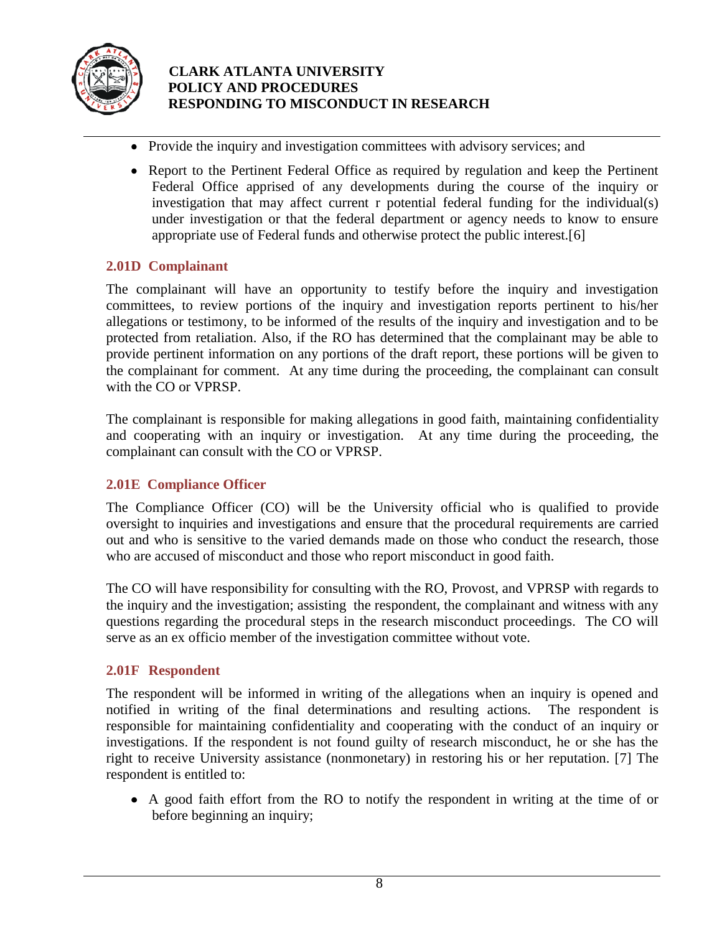

- Provide the inquiry and investigation committees with advisory services; and
- Report to the Pertinent Federal Office as required by regulation and keep the Pertinent Federal Office apprised of any developments during the course of the inquiry or investigation that may affect current r potential federal funding for the individual(s) under investigation or that the federal department or agency needs to know to ensure appropriate use of Federal funds and otherwise protect the public interest.[6]

## **2.01D Complainant**

The complainant will have an opportunity to testify before the inquiry and investigation committees, to review portions of the inquiry and investigation reports pertinent to his/her allegations or testimony, to be informed of the results of the inquiry and investigation and to be protected from retaliation. Also, if the RO has determined that the complainant may be able to provide pertinent information on any portions of the draft report, these portions will be given to the complainant for comment. At any time during the proceeding, the complainant can consult with the CO or VPRSP.

The complainant is responsible for making allegations in good faith, maintaining confidentiality and cooperating with an inquiry or investigation. At any time during the proceeding, the complainant can consult with the CO or VPRSP.

## **2.01E Compliance Officer**

The Compliance Officer (CO) will be the University official who is qualified to provide oversight to inquiries and investigations and ensure that the procedural requirements are carried out and who is sensitive to the varied demands made on those who conduct the research, those who are accused of misconduct and those who report misconduct in good faith.

The CO will have responsibility for consulting with the RO, Provost, and VPRSP with regards to the inquiry and the investigation; assisting the respondent, the complainant and witness with any questions regarding the procedural steps in the research misconduct proceedings. The CO will serve as an ex officio member of the investigation committee without vote.

## **2.01F Respondent**

The respondent will be informed in writing of the allegations when an inquiry is opened and notified in writing of the final determinations and resulting actions. The respondent is responsible for maintaining confidentiality and cooperating with the conduct of an inquiry or investigations. If the respondent is not found guilty of research misconduct, he or she has the right to receive University assistance (nonmonetary) in restoring his or her reputation. [7] The respondent is entitled to:

A good faith effort from the RO to notify the respondent in writing at the time of or before beginning an inquiry;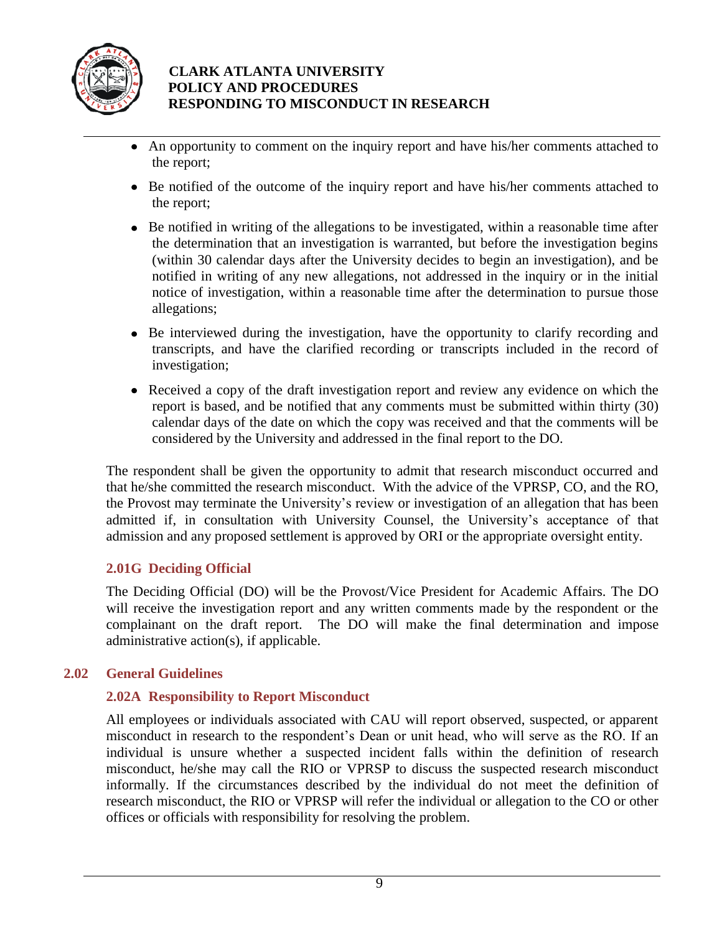

- An opportunity to comment on the inquiry report and have his/her comments attached to the report;
- Be notified of the outcome of the inquiry report and have his/her comments attached to the report;
- Be notified in writing of the allegations to be investigated, within a reasonable time after the determination that an investigation is warranted, but before the investigation begins (within 30 calendar days after the University decides to begin an investigation), and be notified in writing of any new allegations, not addressed in the inquiry or in the initial notice of investigation, within a reasonable time after the determination to pursue those allegations;
- Be interviewed during the investigation, have the opportunity to clarify recording and transcripts, and have the clarified recording or transcripts included in the record of investigation;
- Received a copy of the draft investigation report and review any evidence on which the report is based, and be notified that any comments must be submitted within thirty (30) calendar days of the date on which the copy was received and that the comments will be considered by the University and addressed in the final report to the DO.

The respondent shall be given the opportunity to admit that research misconduct occurred and that he/she committed the research misconduct. With the advice of the VPRSP, CO, and the RO, the Provost may terminate the University's review or investigation of an allegation that has been admitted if, in consultation with University Counsel, the University's acceptance of that admission and any proposed settlement is approved by ORI or the appropriate oversight entity.

## **2.01G Deciding Official**

The Deciding Official (DO) will be the Provost/Vice President for Academic Affairs. The DO will receive the investigation report and any written comments made by the respondent or the complainant on the draft report. The DO will make the final determination and impose administrative action(s), if applicable.

#### **2.02 General Guidelines**

#### **2.02A Responsibility to Report Misconduct**

All employees or individuals associated with CAU will report observed, suspected, or apparent misconduct in research to the respondent's Dean or unit head, who will serve as the RO. If an individual is unsure whether a suspected incident falls within the definition of research misconduct, he/she may call the RIO or VPRSP to discuss the suspected research misconduct informally. If the circumstances described by the individual do not meet the definition of research misconduct, the RIO or VPRSP will refer the individual or allegation to the CO or other offices or officials with responsibility for resolving the problem.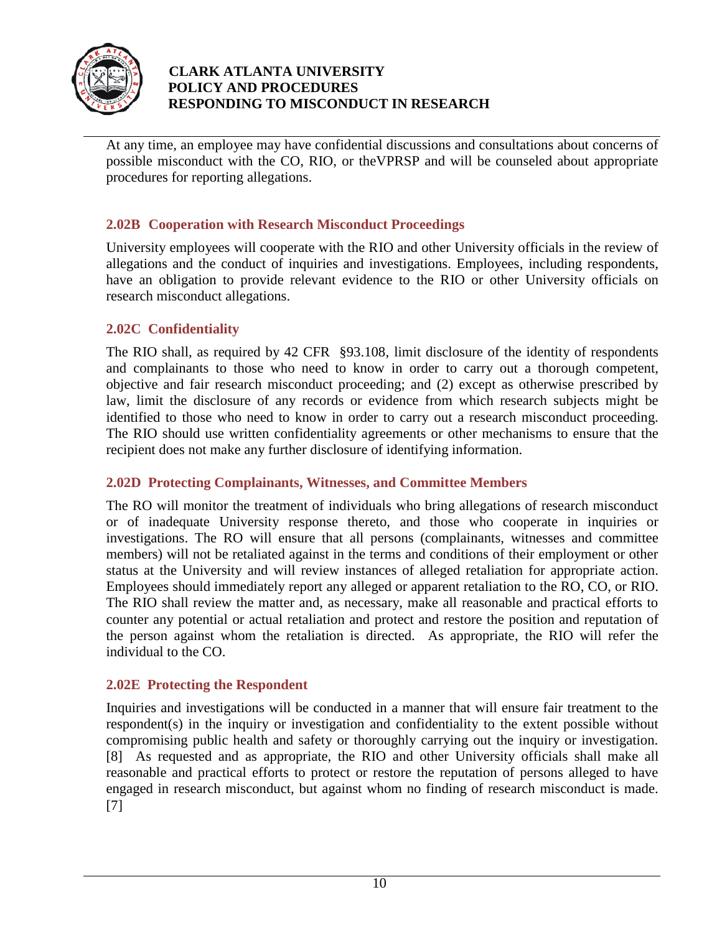

At any time, an employee may have confidential discussions and consultations about concerns of possible misconduct with the CO, RIO, or theVPRSP and will be counseled about appropriate procedures for reporting allegations.

## **2.02B Cooperation with Research Misconduct Proceedings**

University employees will cooperate with the RIO and other University officials in the review of allegations and the conduct of inquiries and investigations. Employees, including respondents, have an obligation to provide relevant evidence to the RIO or other University officials on research misconduct allegations.

#### **2.02C Confidentiality**

The RIO shall, as required by 42 CFR §93.108, limit disclosure of the identity of respondents and complainants to those who need to know in order to carry out a thorough competent, objective and fair research misconduct proceeding; and (2) except as otherwise prescribed by law, limit the disclosure of any records or evidence from which research subjects might be identified to those who need to know in order to carry out a research misconduct proceeding. The RIO should use written confidentiality agreements or other mechanisms to ensure that the recipient does not make any further disclosure of identifying information.

#### **2.02D Protecting Complainants, Witnesses, and Committee Members**

The RO will monitor the treatment of individuals who bring allegations of research misconduct or of inadequate University response thereto, and those who cooperate in inquiries or investigations. The RO will ensure that all persons (complainants, witnesses and committee members) will not be retaliated against in the terms and conditions of their employment or other status at the University and will review instances of alleged retaliation for appropriate action. Employees should immediately report any alleged or apparent retaliation to the RO, CO, or RIO. The RIO shall review the matter and, as necessary, make all reasonable and practical efforts to counter any potential or actual retaliation and protect and restore the position and reputation of the person against whom the retaliation is directed. As appropriate, the RIO will refer the individual to the CO.

#### **2.02E Protecting the Respondent**

Inquiries and investigations will be conducted in a manner that will ensure fair treatment to the respondent(s) in the inquiry or investigation and confidentiality to the extent possible without compromising public health and safety or thoroughly carrying out the inquiry or investigation. [8] As requested and as appropriate, the RIO and other University officials shall make all reasonable and practical efforts to protect or restore the reputation of persons alleged to have engaged in research misconduct, but against whom no finding of research misconduct is made. [7]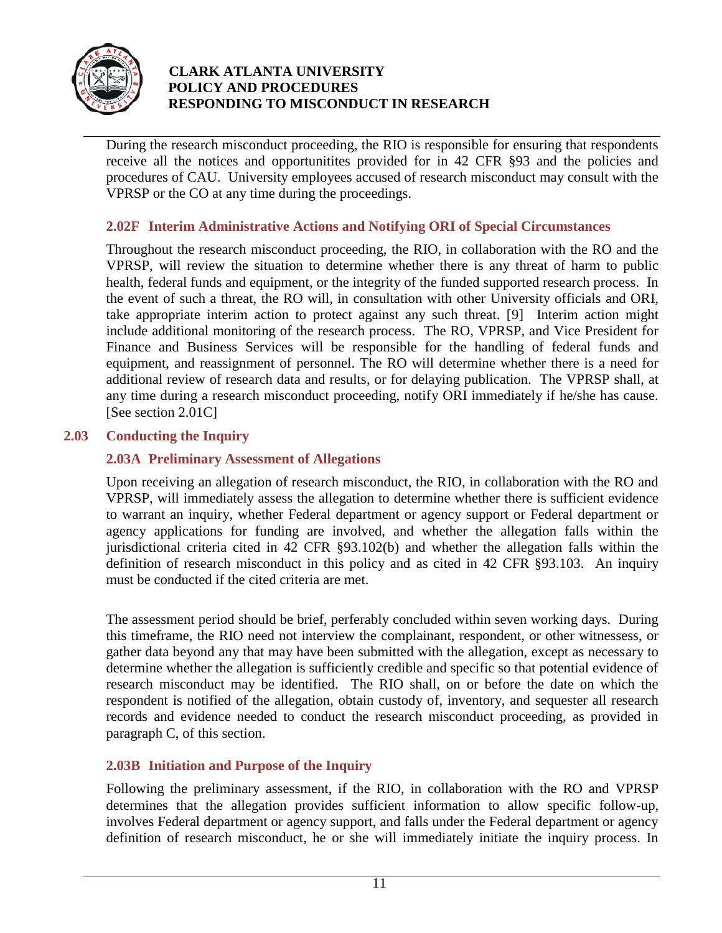

During the research misconduct proceeding, the RIO is responsible for ensuring that respondents receive all the notices and opportunitites provided for in 42 CFR §93 and the policies and procedures of CAU. University employees accused of research misconduct may consult with the VPRSP or the CO at any time during the proceedings.

## **2.02F Interim Administrative Actions and Notifying ORI of Special Circumstances**

Throughout the research misconduct proceeding, the RIO, in collaboration with the RO and the VPRSP, will review the situation to determine whether there is any threat of harm to public health, federal funds and equipment, or the integrity of the funded supported research process. In the event of such a threat, the RO will, in consultation with other University officials and ORI, take appropriate interim action to protect against any such threat. [9] Interim action might include additional monitoring of the research process. The RO, VPRSP, and Vice President for Finance and Business Services will be responsible for the handling of federal funds and equipment, and reassignment of personnel. The RO will determine whether there is a need for additional review of research data and results, or for delaying publication. The VPRSP shall, at any time during a research misconduct proceeding, notify ORI immediately if he/she has cause. [See section 2.01C]

#### **2.03 Conducting the Inquiry**

## **2.03A Preliminary Assessment of Allegations**

Upon receiving an allegation of research misconduct, the RIO, in collaboration with the RO and VPRSP, will immediately assess the allegation to determine whether there is sufficient evidence to warrant an inquiry, whether Federal department or agency support or Federal department or agency applications for funding are involved, and whether the allegation falls within the jurisdictional criteria cited in 42 CFR §93.102(b) and whether the allegation falls within the definition of research misconduct in this policy and as cited in 42 CFR §93.103. An inquiry must be conducted if the cited criteria are met.

The assessment period should be brief, perferably concluded within seven working days. During this timeframe, the RIO need not interview the complainant, respondent, or other witnessess, or gather data beyond any that may have been submitted with the allegation, except as necessary to determine whether the allegation is sufficiently credible and specific so that potential evidence of research misconduct may be identified. The RIO shall, on or before the date on which the respondent is notified of the allegation, obtain custody of, inventory, and sequester all research records and evidence needed to conduct the research misconduct proceeding, as provided in paragraph C, of this section.

#### **2.03B Initiation and Purpose of the Inquiry**

Following the preliminary assessment, if the RIO, in collaboration with the RO and VPRSP determines that the allegation provides sufficient information to allow specific follow-up, involves Federal department or agency support, and falls under the Federal department or agency definition of research misconduct, he or she will immediately initiate the inquiry process. In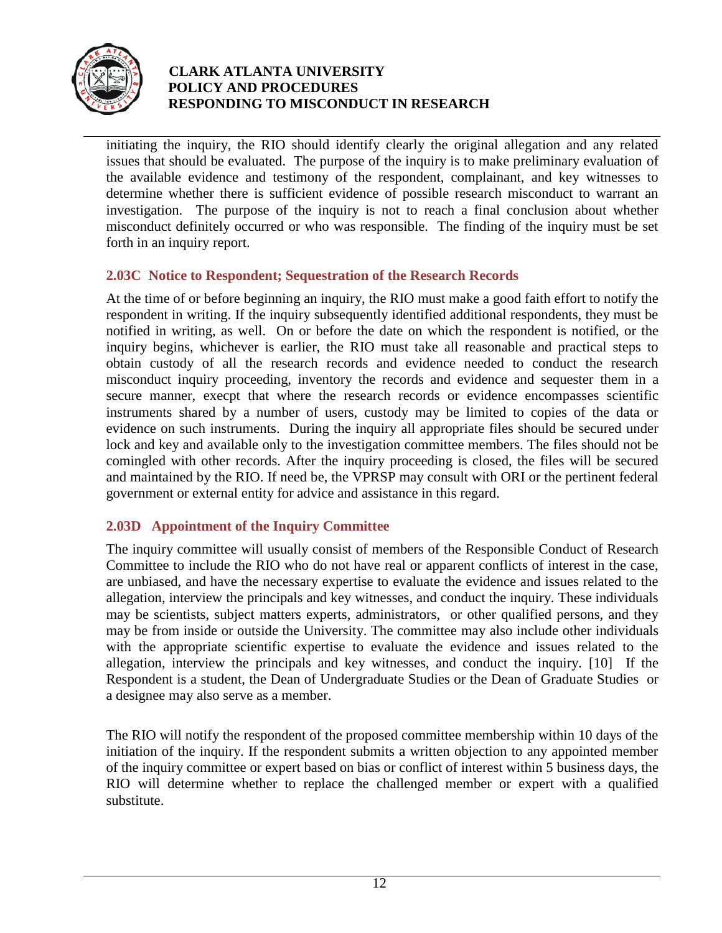

initiating the inquiry, the RIO should identify clearly the original allegation and any related issues that should be evaluated. The purpose of the inquiry is to make preliminary evaluation of the available evidence and testimony of the respondent, complainant, and key witnesses to determine whether there is sufficient evidence of possible research misconduct to warrant an investigation. The purpose of the inquiry is not to reach a final conclusion about whether misconduct definitely occurred or who was responsible. The finding of the inquiry must be set forth in an inquiry report.

## **2.03C Notice to Respondent; Sequestration of the Research Records**

At the time of or before beginning an inquiry, the RIO must make a good faith effort to notify the respondent in writing. If the inquiry subsequently identified additional respondents, they must be notified in writing, as well. On or before the date on which the respondent is notified, or the inquiry begins, whichever is earlier, the RIO must take all reasonable and practical steps to obtain custody of all the research records and evidence needed to conduct the research misconduct inquiry proceeding, inventory the records and evidence and sequester them in a secure manner, execpt that where the research records or evidence encompasses scientific instruments shared by a number of users, custody may be limited to copies of the data or evidence on such instruments. During the inquiry all appropriate files should be secured under lock and key and available only to the investigation committee members. The files should not be comingled with other records. After the inquiry proceeding is closed, the files will be secured and maintained by the RIO. If need be, the VPRSP may consult with ORI or the pertinent federal government or external entity for advice and assistance in this regard.

#### **2.03D Appointment of the Inquiry Committee**

The inquiry committee will usually consist of members of the Responsible Conduct of Research Committee to include the RIO who do not have real or apparent conflicts of interest in the case, are unbiased, and have the necessary expertise to evaluate the evidence and issues related to the allegation, interview the principals and key witnesses, and conduct the inquiry. These individuals may be scientists, subject matters experts, administrators, or other qualified persons, and they may be from inside or outside the University. The committee may also include other individuals with the appropriate scientific expertise to evaluate the evidence and issues related to the allegation, interview the principals and key witnesses, and conduct the inquiry. [10] If the Respondent is a student, the Dean of Undergraduate Studies or the Dean of Graduate Studies or a designee may also serve as a member.

The RIO will notify the respondent of the proposed committee membership within 10 days of the initiation of the inquiry. If the respondent submits a written objection to any appointed member of the inquiry committee or expert based on bias or conflict of interest within 5 business days, the RIO will determine whether to replace the challenged member or expert with a qualified substitute.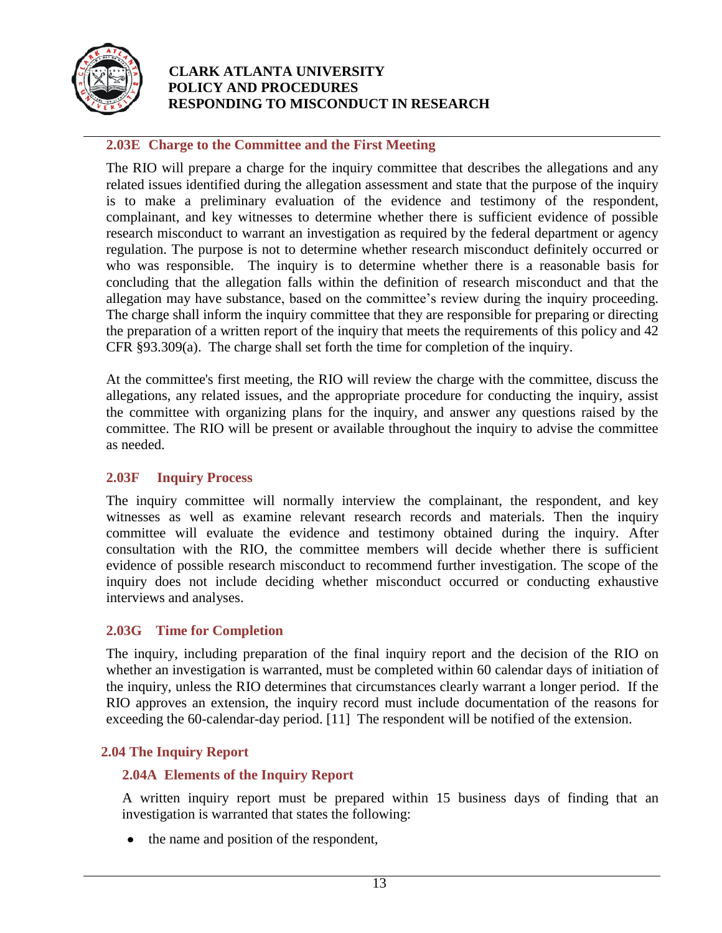

#### **2.03E Charge to the Committee and the First Meeting**

The RIO will prepare a charge for the inquiry committee that describes the allegations and any related issues identified during the allegation assessment and state that the purpose of the inquiry is to make a preliminary evaluation of the evidence and testimony of the respondent, complainant, and key witnesses to determine whether there is sufficient evidence of possible research misconduct to warrant an investigation as required by the federal department or agency regulation. The purpose is not to determine whether research misconduct definitely occurred or who was responsible. The inquiry is to determine whether there is a reasonable basis for concluding that the allegation falls within the definition of research misconduct and that the allegation may have substance, based on the committee's review during the inquiry proceeding. The charge shall inform the inquiry committee that they are responsible for preparing or directing the preparation of a written report of the inquiry that meets the requirements of this policy and 42 CFR  $\S 93.309(a)$ . The charge shall set forth the time for completion of the inquiry.

At the committee's first meeting, the RIO will review the charge with the committee, discuss the allegations, any related issues, and the appropriate procedure for conducting the inquiry, assist the committee with organizing plans for the inquiry, and answer any questions raised by the committee. The RIO will be present or available throughout the inquiry to advise the committee as needed.

#### **2.03F Inquiry Process**

The inquiry committee will normally interview the complainant, the respondent, and key witnesses as well as examine relevant research records and materials. Then the inquiry committee will evaluate the evidence and testimony obtained during the inquiry. After consultation with the RIO, the committee members will decide whether there is sufficient evidence of possible research misconduct to recommend further investigation. The scope of the inquiry does not include deciding whether misconduct occurred or conducting exhaustive interviews and analyses.

#### **2.03G Time for Completion**

The inquiry, including preparation of the final inquiry report and the decision of the RIO on whether an investigation is warranted, must be completed within 60 calendar days of initiation of the inquiry, unless the RIO determines that circumstances clearly warrant a longer period. If the RIO approves an extension, the inquiry record must include documentation of the reasons for exceeding the 60-calendar-day period. [11] The respondent will be notified of the extension.

#### **2.04 The Inquiry Report**

#### **2.04A Elements of the Inquiry Report**

A written inquiry report must be prepared within 15 business days of finding that an investigation is warranted that states the following:

• the name and position of the respondent,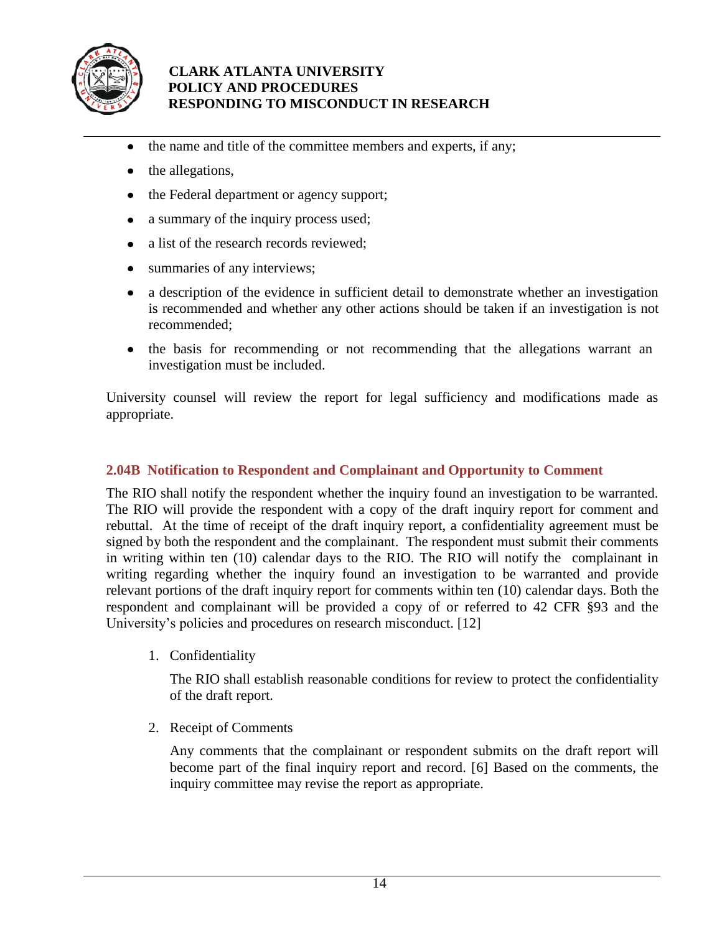

- the name and title of the committee members and experts, if any;  $\bullet$
- the allegations,  $\bullet$
- the Federal department or agency support;
- a summary of the inquiry process used;  $\bullet$
- $\bullet$ a list of the research records reviewed;
- summaries of any interviews;
- a description of the evidence in sufficient detail to demonstrate whether an investigation is recommended and whether any other actions should be taken if an investigation is not recommended;
- the basis for recommending or not recommending that the allegations warrant an investigation must be included.

University counsel will review the report for legal sufficiency and modifications made as appropriate.

#### **2.04B Notification to Respondent and Complainant and Opportunity to Comment**

The RIO shall notify the respondent whether the inquiry found an investigation to be warranted. The RIO will provide the respondent with a copy of the draft inquiry report for comment and rebuttal. At the time of receipt of the draft inquiry report, a confidentiality agreement must be signed by both the respondent and the complainant. The respondent must submit their comments in writing within ten (10) calendar days to the RIO. The RIO will notify the complainant in writing regarding whether the inquiry found an investigation to be warranted and provide relevant portions of the draft inquiry report for comments within ten (10) calendar days. Both the respondent and complainant will be provided a copy of or referred to 42 CFR §93 and the University's policies and procedures on research misconduct. [12]

1. Confidentiality

The RIO shall establish reasonable conditions for review to protect the confidentiality of the draft report.

2. Receipt of Comments

Any comments that the complainant or respondent submits on the draft report will become part of the final inquiry report and record. [6] Based on the comments, the inquiry committee may revise the report as appropriate.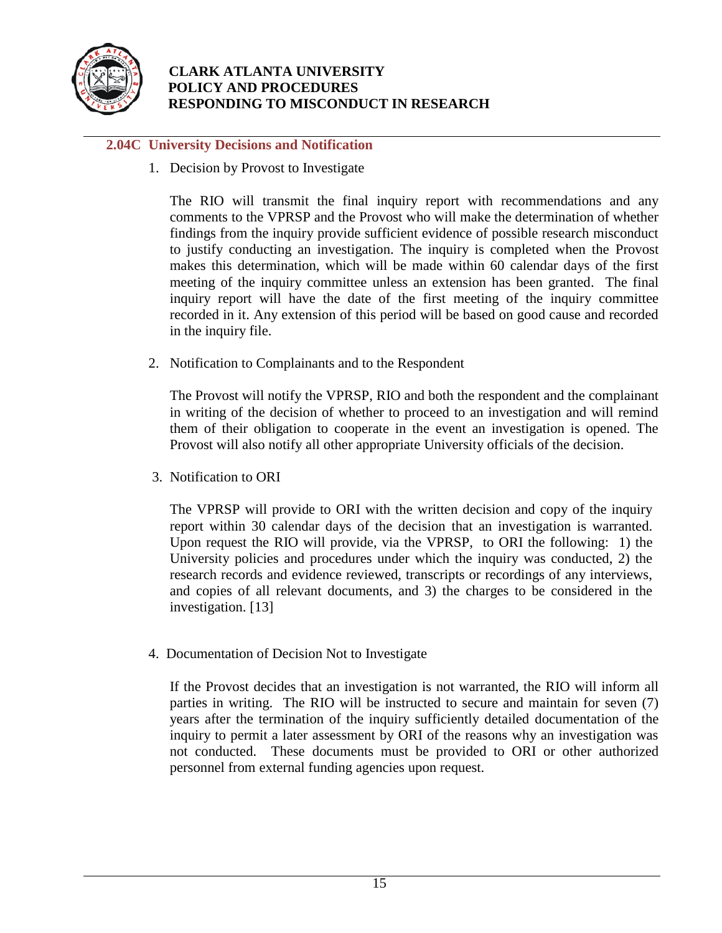

## **2.04C University Decisions and Notification**

1. Decision by Provost to Investigate

The RIO will transmit the final inquiry report with recommendations and any comments to the VPRSP and the Provost who will make the determination of whether findings from the inquiry provide sufficient evidence of possible research misconduct to justify conducting an investigation. The inquiry is completed when the Provost makes this determination, which will be made within 60 calendar days of the first meeting of the inquiry committee unless an extension has been granted. The final inquiry report will have the date of the first meeting of the inquiry committee recorded in it. Any extension of this period will be based on good cause and recorded in the inquiry file.

2. Notification to Complainants and to the Respondent

The Provost will notify the VPRSP, RIO and both the respondent and the complainant in writing of the decision of whether to proceed to an investigation and will remind them of their obligation to cooperate in the event an investigation is opened. The Provost will also notify all other appropriate University officials of the decision.

3. Notification to ORI

The VPRSP will provide to ORI with the written decision and copy of the inquiry report within 30 calendar days of the decision that an investigation is warranted. Upon request the RIO will provide, via the VPRSP, to ORI the following: 1) the University policies and procedures under which the inquiry was conducted, 2) the research records and evidence reviewed, transcripts or recordings of any interviews, and copies of all relevant documents, and 3) the charges to be considered in the investigation. [13]

4. Documentation of Decision Not to Investigate

If the Provost decides that an investigation is not warranted, the RIO will inform all parties in writing. The RIO will be instructed to secure and maintain for seven (7) years after the termination of the inquiry sufficiently detailed documentation of the inquiry to permit a later assessment by ORI of the reasons why an investigation was not conducted. These documents must be provided to ORI or other authorized personnel from external funding agencies upon request.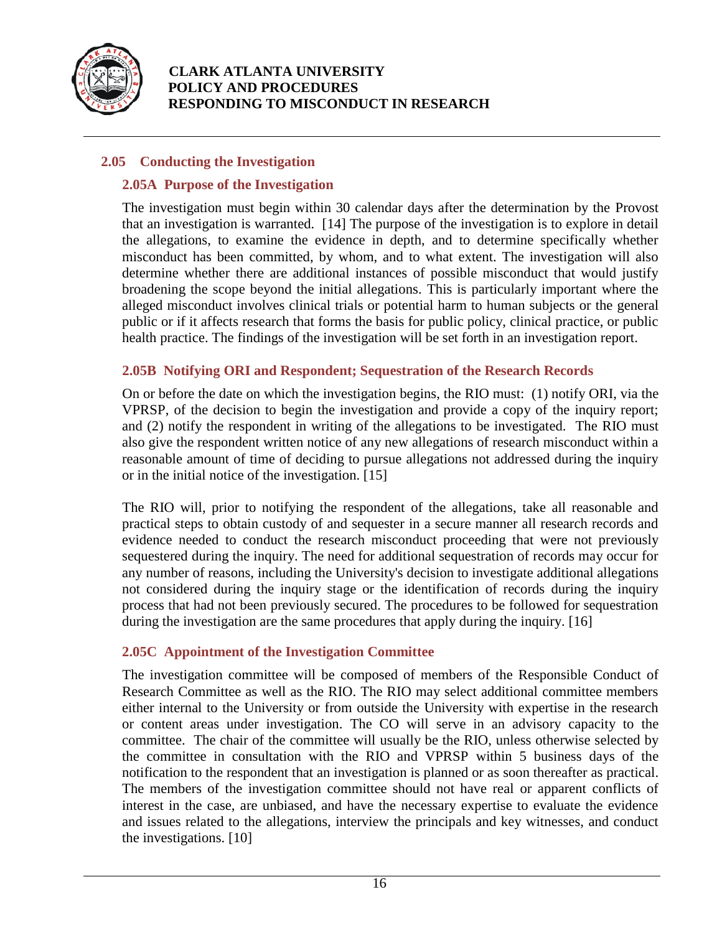

## **2.05 Conducting the Investigation**

#### **2.05A Purpose of the Investigation**

The investigation must begin within 30 calendar days after the determination by the Provost that an investigation is warranted. [14] The purpose of the investigation is to explore in detail the allegations, to examine the evidence in depth, and to determine specifically whether misconduct has been committed, by whom, and to what extent. The investigation will also determine whether there are additional instances of possible misconduct that would justify broadening the scope beyond the initial allegations. This is particularly important where the alleged misconduct involves clinical trials or potential harm to human subjects or the general public or if it affects research that forms the basis for public policy, clinical practice, or public health practice. The findings of the investigation will be set forth in an investigation report.

## **2.05B Notifying ORI and Respondent; Sequestration of the Research Records**

On or before the date on which the investigation begins, the RIO must: (1) notify ORI, via the VPRSP, of the decision to begin the investigation and provide a copy of the inquiry report; and (2) notify the respondent in writing of the allegations to be investigated. The RIO must also give the respondent written notice of any new allegations of research misconduct within a reasonable amount of time of deciding to pursue allegations not addressed during the inquiry or in the initial notice of the investigation. [15]

The RIO will, prior to notifying the respondent of the allegations, take all reasonable and practical steps to obtain custody of and sequester in a secure manner all research records and evidence needed to conduct the research misconduct proceeding that were not previously sequestered during the inquiry. The need for additional sequestration of records may occur for any number of reasons, including the University's decision to investigate additional allegations not considered during the inquiry stage or the identification of records during the inquiry process that had not been previously secured. The procedures to be followed for sequestration during the investigation are the same procedures that apply during the inquiry. [16]

## **2.05C Appointment of the Investigation Committee**

The investigation committee will be composed of members of the Responsible Conduct of Research Committee as well as the RIO. The RIO may select additional committee members either internal to the University or from outside the University with expertise in the research or content areas under investigation. The CO will serve in an advisory capacity to the committee. The chair of the committee will usually be the RIO, unless otherwise selected by the committee in consultation with the RIO and VPRSP within 5 business days of the notification to the respondent that an investigation is planned or as soon thereafter as practical. The members of the investigation committee should not have real or apparent conflicts of interest in the case, are unbiased, and have the necessary expertise to evaluate the evidence and issues related to the allegations, interview the principals and key witnesses, and conduct the investigations. [10]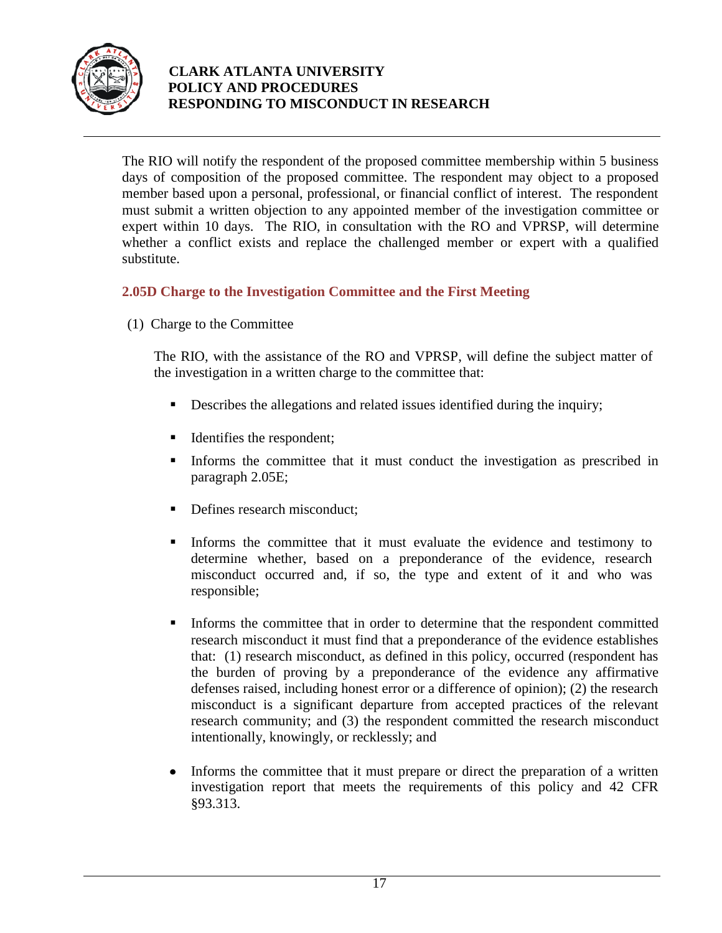

The RIO will notify the respondent of the proposed committee membership within 5 business days of composition of the proposed committee. The respondent may object to a proposed member based upon a personal, professional, or financial conflict of interest. The respondent must submit a written objection to any appointed member of the investigation committee or expert within 10 days. The RIO, in consultation with the RO and VPRSP, will determine whether a conflict exists and replace the challenged member or expert with a qualified substitute.

## **2.05D Charge to the Investigation Committee and the First Meeting**

(1) Charge to the Committee

The RIO, with the assistance of the RO and VPRSP, will define the subject matter of the investigation in a written charge to the committee that:

- Describes the allegations and related issues identified during the inquiry;
- Identifies the respondent;
- Informs the committee that it must conduct the investigation as prescribed in paragraph 2.05E;
- Defines research misconduct;
- Informs the committee that it must evaluate the evidence and testimony to determine whether, based on a preponderance of the evidence, research misconduct occurred and, if so, the type and extent of it and who was responsible;
- Informs the committee that in order to determine that the respondent committed research misconduct it must find that a preponderance of the evidence establishes that: (1) research misconduct, as defined in this policy, occurred (respondent has the burden of proving by a preponderance of the evidence any affirmative defenses raised, including honest error or a difference of opinion); (2) the research misconduct is a significant departure from accepted practices of the relevant research community; and (3) the respondent committed the research misconduct intentionally, knowingly, or recklessly; and
- Informs the committee that it must prepare or direct the preparation of a written  $\bullet$ investigation report that meets the requirements of this policy and 42 CFR §93.313.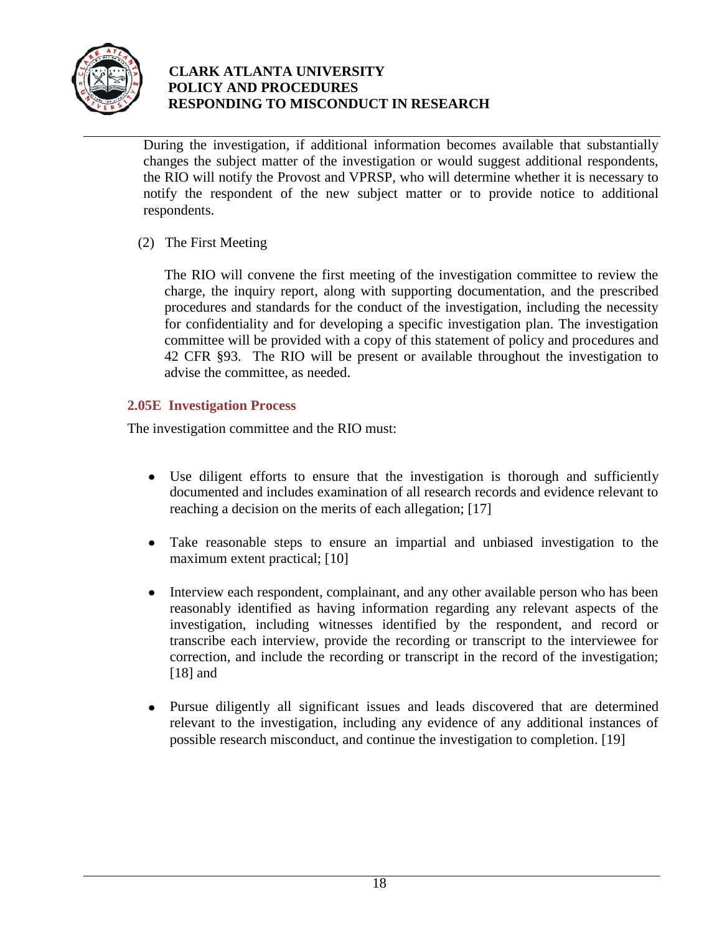

During the investigation, if additional information becomes available that substantially changes the subject matter of the investigation or would suggest additional respondents, the RIO will notify the Provost and VPRSP, who will determine whether it is necessary to notify the respondent of the new subject matter or to provide notice to additional respondents.

(2) The First Meeting

The RIO will convene the first meeting of the investigation committee to review the charge, the inquiry report, along with supporting documentation, and the prescribed procedures and standards for the conduct of the investigation, including the necessity for confidentiality and for developing a specific investigation plan. The investigation committee will be provided with a copy of this statement of policy and procedures and 42 CFR §93. The RIO will be present or available throughout the investigation to advise the committee, as needed.

## **2.05E Investigation Process**

The investigation committee and the RIO must:

- Use diligent efforts to ensure that the investigation is thorough and sufficiently documented and includes examination of all research records and evidence relevant to reaching a decision on the merits of each allegation; [17]
- $\bullet$ Take reasonable steps to ensure an impartial and unbiased investigation to the maximum extent practical; [10]
- Interview each respondent, complainant, and any other available person who has been  $\bullet$ reasonably identified as having information regarding any relevant aspects of the investigation, including witnesses identified by the respondent, and record or transcribe each interview, provide the recording or transcript to the interviewee for correction, and include the recording or transcript in the record of the investigation; [18] and
- Pursue diligently all significant issues and leads discovered that are determined  $\bullet$ relevant to the investigation, including any evidence of any additional instances of possible research misconduct, and continue the investigation to completion. [19]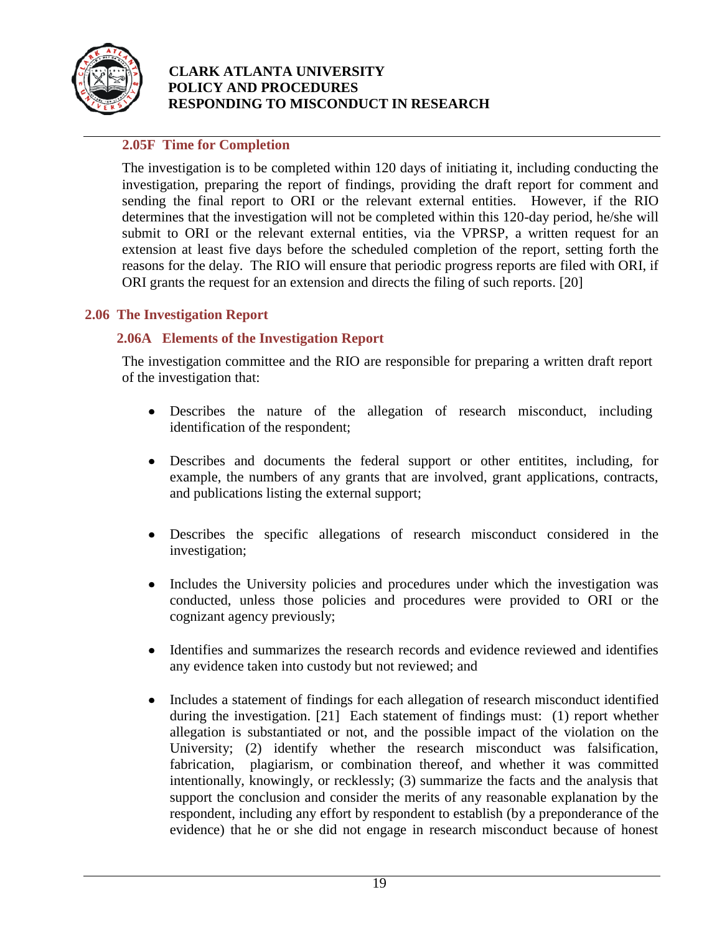

## **2.05F Time for Completion**

The investigation is to be completed within 120 days of initiating it, including conducting the investigation, preparing the report of findings, providing the draft report for comment and sending the final report to ORI or the relevant external entities. However, if the RIO determines that the investigation will not be completed within this 120-day period, he/she will submit to ORI or the relevant external entities, via the VPRSP, a written request for an extension at least five days before the scheduled completion of the report, setting forth the reasons for the delay. The RIO will ensure that periodic progress reports are filed with ORI, if ORI grants the request for an extension and directs the filing of such reports. [20]

#### **2.06 The Investigation Report**

#### **2.06A Elements of the Investigation Report**

The investigation committee and the RIO are responsible for preparing a written draft report of the investigation that:

- Describes the nature of the allegation of research misconduct, including identification of the respondent;
- Describes and documents the federal support or other entitites, including, for example, the numbers of any grants that are involved, grant applications, contracts, and publications listing the external support;
- Describes the specific allegations of research misconduct considered in the investigation;
- Includes the University policies and procedures under which the investigation was conducted, unless those policies and procedures were provided to ORI or the cognizant agency previously;
- $\bullet$ Identifies and summarizes the research records and evidence reviewed and identifies any evidence taken into custody but not reviewed; and
- Includes a statement of findings for each allegation of research misconduct identified  $\bullet$ during the investigation. [21] Each statement of findings must: (1) report whether allegation is substantiated or not, and the possible impact of the violation on the University; (2) identify whether the research misconduct was falsification, fabrication, plagiarism, or combination thereof, and whether it was committed intentionally, knowingly, or recklessly; (3) summarize the facts and the analysis that support the conclusion and consider the merits of any reasonable explanation by the respondent, including any effort by respondent to establish (by a preponderance of the evidence) that he or she did not engage in research misconduct because of honest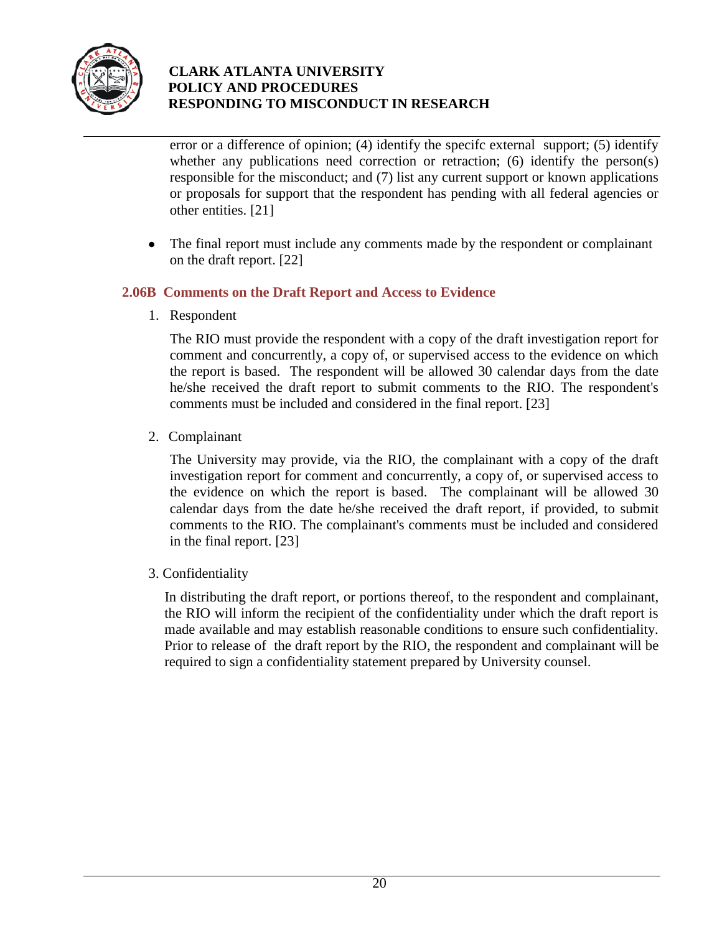

error or a difference of opinion; (4) identify the specifc external support; (5) identify whether any publications need correction or retraction; (6) identify the person(s) responsible for the misconduct; and (7) list any current support or known applications or proposals for support that the respondent has pending with all federal agencies or other entities. [21]

 $\bullet$ The final report must include any comments made by the respondent or complainant on the draft report. [22]

## **2.06B Comments on the Draft Report and Access to Evidence**

1. Respondent

The RIO must provide the respondent with a copy of the draft investigation report for comment and concurrently, a copy of, or supervised access to the evidence on which the report is based. The respondent will be allowed 30 calendar days from the date he/she received the draft report to submit comments to the RIO. The respondent's comments must be included and considered in the final report. [23]

2. Complainant

The University may provide, via the RIO, the complainant with a copy of the draft investigation report for comment and concurrently, a copy of, or supervised access to the evidence on which the report is based. The complainant will be allowed 30 calendar days from the date he/she received the draft report, if provided, to submit comments to the RIO. The complainant's comments must be included and considered in the final report. [23]

3. Confidentiality

In distributing the draft report, or portions thereof, to the respondent and complainant, the RIO will inform the recipient of the confidentiality under which the draft report is made available and may establish reasonable conditions to ensure such confidentiality. Prior to release of the draft report by the RIO, the respondent and complainant will be required to sign a confidentiality statement prepared by University counsel.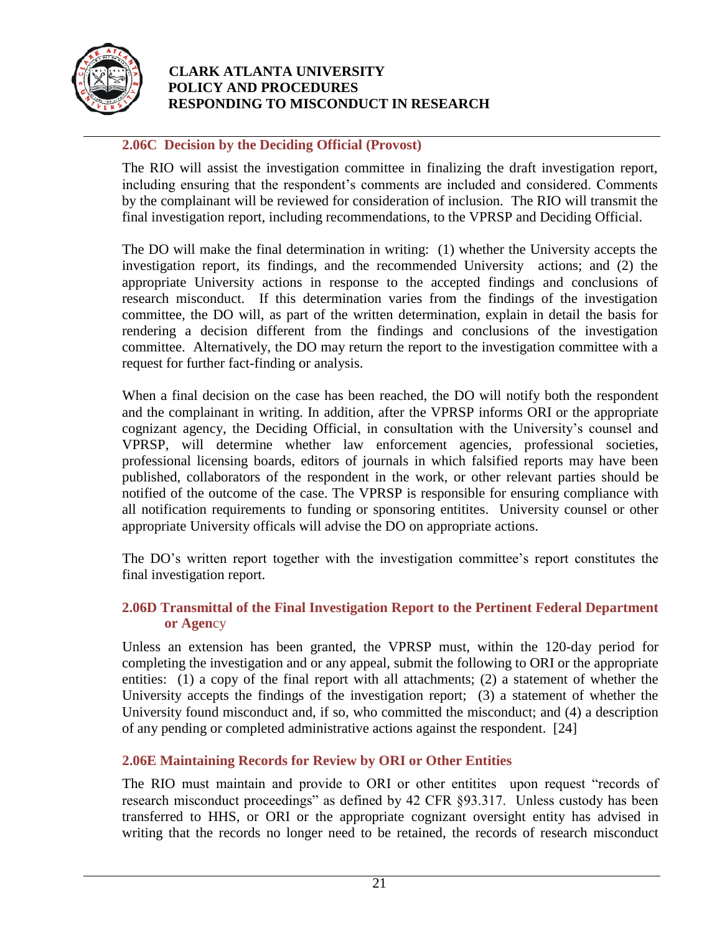

## **2.06C Decision by the Deciding Official (Provost)**

The RIO will assist the investigation committee in finalizing the draft investigation report, including ensuring that the respondent's comments are included and considered. Comments by the complainant will be reviewed for consideration of inclusion. The RIO will transmit the final investigation report, including recommendations, to the VPRSP and Deciding Official.

The DO will make the final determination in writing: (1) whether the University accepts the investigation report, its findings, and the recommended University actions; and (2) the appropriate University actions in response to the accepted findings and conclusions of research misconduct. If this determination varies from the findings of the investigation committee, the DO will, as part of the written determination, explain in detail the basis for rendering a decision different from the findings and conclusions of the investigation committee. Alternatively, the DO may return the report to the investigation committee with a request for further fact-finding or analysis.

When a final decision on the case has been reached, the DO will notify both the respondent and the complainant in writing. In addition, after the VPRSP informs ORI or the appropriate cognizant agency, the Deciding Official, in consultation with the University's counsel and VPRSP, will determine whether law enforcement agencies, professional societies, professional licensing boards, editors of journals in which falsified reports may have been published, collaborators of the respondent in the work, or other relevant parties should be notified of the outcome of the case. The VPRSP is responsible for ensuring compliance with all notification requirements to funding or sponsoring entitites. University counsel or other appropriate University officals will advise the DO on appropriate actions.

The DO's written report together with the investigation committee's report constitutes the final investigation report.

#### **2.06D Transmittal of the Final Investigation Report to the Pertinent Federal Department or Agen**cy

Unless an extension has been granted, the VPRSP must, within the 120-day period for completing the investigation and or any appeal, submit the following to ORI or the appropriate entities: (1) a copy of the final report with all attachments; (2) a statement of whether the University accepts the findings of the investigation report; (3) a statement of whether the University found misconduct and, if so, who committed the misconduct; and (4) a description of any pending or completed administrative actions against the respondent. [24]

#### **2.06E Maintaining Records for Review by ORI or Other Entities**

The RIO must maintain and provide to ORI or other entitites upon request "records of research misconduct proceedings" as defined by 42 CFR §93.317. Unless custody has been transferred to HHS, or ORI or the appropriate cognizant oversight entity has advised in writing that the records no longer need to be retained, the records of research misconduct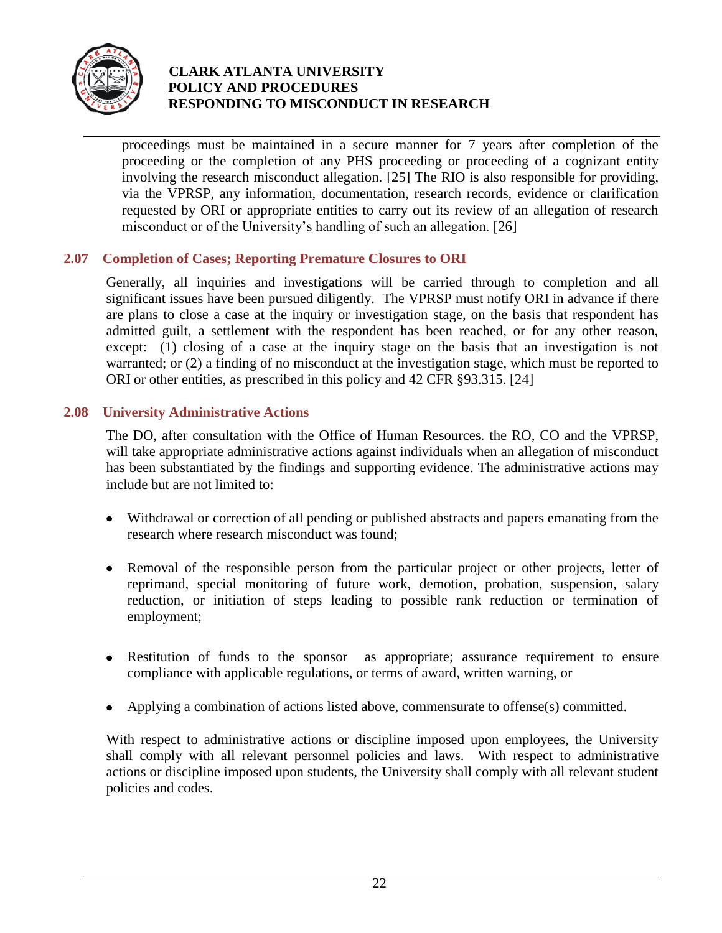

proceedings must be maintained in a secure manner for 7 years after completion of the proceeding or the completion of any PHS proceeding or proceeding of a cognizant entity involving the research misconduct allegation. [25] The RIO is also responsible for providing, via the VPRSP, any information, documentation, research records, evidence or clarification requested by ORI or appropriate entities to carry out its review of an allegation of research misconduct or of the University's handling of such an allegation. [26]

## **2.07 Completion of Cases; Reporting Premature Closures to ORI**

Generally, all inquiries and investigations will be carried through to completion and all significant issues have been pursued diligently. The VPRSP must notify ORI in advance if there are plans to close a case at the inquiry or investigation stage, on the basis that respondent has admitted guilt, a settlement with the respondent has been reached, or for any other reason, except: (1) closing of a case at the inquiry stage on the basis that an investigation is not warranted; or (2) a finding of no misconduct at the investigation stage, which must be reported to ORI or other entities, as prescribed in this policy and 42 CFR §93.315. [24]

#### **2.08 University Administrative Actions**

The DO, after consultation with the Office of Human Resources. the RO, CO and the VPRSP, will take appropriate administrative actions against individuals when an allegation of misconduct has been substantiated by the findings and supporting evidence. The administrative actions may include but are not limited to:

- Withdrawal or correction of all pending or published abstracts and papers emanating from the research where research misconduct was found;
- Removal of the responsible person from the particular project or other projects, letter of reprimand, special monitoring of future work, demotion, probation, suspension, salary reduction, or initiation of steps leading to possible rank reduction or termination of employment;
- Restitution of funds to the sponsor as appropriate; assurance requirement to ensure compliance with applicable regulations, or terms of award, written warning, or
- Applying a combination of actions listed above, commensurate to offense(s) committed.

With respect to administrative actions or discipline imposed upon employees, the University shall comply with all relevant personnel policies and laws. With respect to administrative actions or discipline imposed upon students, the University shall comply with all relevant student policies and codes.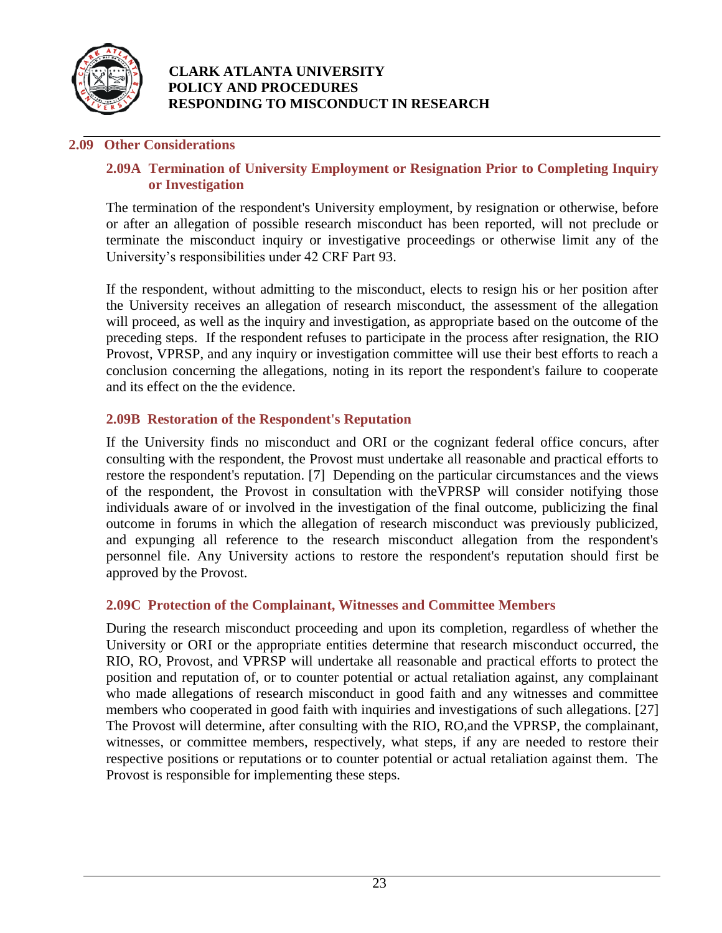

#### **2.09 Other Considerations**

#### **2.09A Termination of University Employment or Resignation Prior to Completing Inquiry or Investigation**

The termination of the respondent's University employment, by resignation or otherwise, before or after an allegation of possible research misconduct has been reported, will not preclude or terminate the misconduct inquiry or investigative proceedings or otherwise limit any of the University's responsibilities under 42 CRF Part 93.

If the respondent, without admitting to the misconduct, elects to resign his or her position after the University receives an allegation of research misconduct, the assessment of the allegation will proceed, as well as the inquiry and investigation, as appropriate based on the outcome of the preceding steps. If the respondent refuses to participate in the process after resignation, the RIO Provost, VPRSP, and any inquiry or investigation committee will use their best efforts to reach a conclusion concerning the allegations, noting in its report the respondent's failure to cooperate and its effect on the the evidence.

## **2.09B Restoration of the Respondent's Reputation**

If the University finds no misconduct and ORI or the cognizant federal office concurs, after consulting with the respondent, the Provost must undertake all reasonable and practical efforts to restore the respondent's reputation. [7] Depending on the particular circumstances and the views of the respondent, the Provost in consultation with theVPRSP will consider notifying those individuals aware of or involved in the investigation of the final outcome, publicizing the final outcome in forums in which the allegation of research misconduct was previously publicized, and expunging all reference to the research misconduct allegation from the respondent's personnel file. Any University actions to restore the respondent's reputation should first be approved by the Provost.

#### **2.09C Protection of the Complainant, Witnesses and Committee Members**

During the research misconduct proceeding and upon its completion, regardless of whether the University or ORI or the appropriate entities determine that research misconduct occurred, the RIO, RO, Provost, and VPRSP will undertake all reasonable and practical efforts to protect the position and reputation of, or to counter potential or actual retaliation against, any complainant who made allegations of research misconduct in good faith and any witnesses and committee members who cooperated in good faith with inquiries and investigations of such allegations. [27] The Provost will determine, after consulting with the RIO, RO,and the VPRSP, the complainant, witnesses, or committee members, respectively, what steps, if any are needed to restore their respective positions or reputations or to counter potential or actual retaliation against them. The Provost is responsible for implementing these steps.